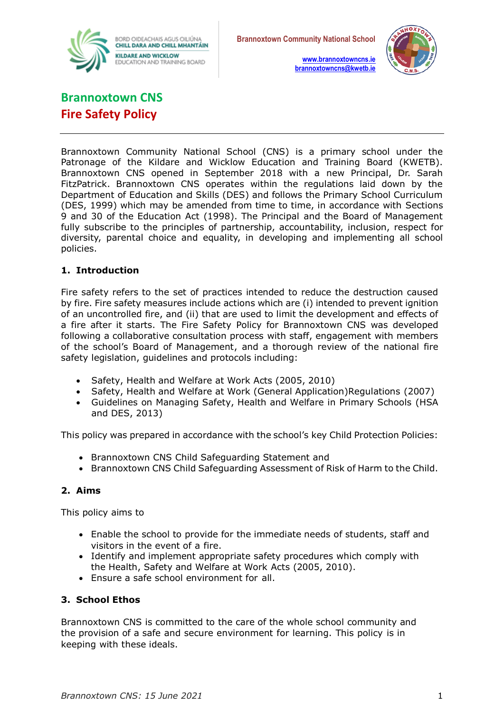



**[www.brannoxtowncns.ie](http://www.brannoxtowncns.ie/) [brannoxtowncns@kwetb.ie](mailto:brannoxtowncns@kwetb.ie)**

# **Brannoxtown CNS Fire Safety Policy**

Brannoxtown Community National School (CNS) is a primary school under the Patronage of the Kildare and Wicklow Education and Training Board (KWETB). Brannoxtown CNS opened in September 2018 with a new Principal, Dr. Sarah FitzPatrick. Brannoxtown CNS operates within the regulations laid down by the Department of Education and Skills (DES) and follows the Primary School Curriculum (DES, 1999) which may be amended from time to time, in accordance with Sections 9 and 30 of the Education Act (1998). The Principal and the Board of Management fully subscribe to the principles of partnership, accountability, inclusion, respect for diversity, parental choice and equality, in developing and implementing all school policies.

## **1. Introduction**

Fire safety refers to the set of practices intended to reduce the destruction caused by fire. Fire safety measures include actions which are (i) intended to prevent ignition of an uncontrolled fire, and (ii) that are used to limit the development and effects of a fire after it starts. The Fire Safety Policy for Brannoxtown CNS was developed following a collaborative consultation process with staff, engagement with members of the school's Board of Management, and a thorough review of the national fire safety legislation, guidelines and protocols including:

- Safety, Health and Welfare at Work Acts (2005, 2010)
- Safety, Health and Welfare at Work (General Application)Regulations (2007)
- Guidelines on Managing Safety, Health and Welfare in Primary Schools (HSA and DES, 2013)

This policy was prepared in accordance with the school's key Child Protection Policies:

- Brannoxtown CNS Child Safeguarding Statement and
- Brannoxtown CNS Child Safeguarding Assessment of Risk of Harm to the Child.

### **2. Aims**

This policy aims to

- Enable the school to provide for the immediate needs of students, staff and visitors in the event of a fire.
- Identify and implement appropriate safety procedures which comply with the Health, Safety and Welfare at Work Acts (2005, 2010).
- Ensure a safe school environment for all.

### **3. School Ethos**

Brannoxtown CNS is committed to the care of the whole school community and the provision of a safe and secure environment for learning. This policy is in keeping with these ideals.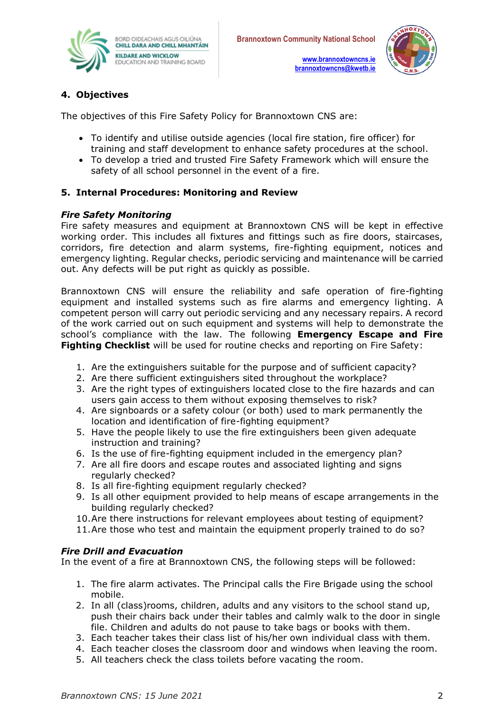

**[www.brannoxtowncns.ie](http://www.brannoxtowncns.ie/) [brannoxtowncns@kwetb.ie](mailto:brannoxtowncns@kwetb.ie)**



## **4. Objectives**

The objectives of this Fire Safety Policy for Brannoxtown CNS are:

- To identify and utilise outside agencies (local fire station, fire officer) for training and staff development to enhance safety procedures at the school.
- To develop a tried and trusted Fire Safety Framework which will ensure the safety of all school personnel in the event of a fire.

## **5. Internal Procedures: Monitoring and Review**

### *Fire Safety Monitoring*

Fire safety measures and equipment at Brannoxtown CNS will be kept in effective working order. This includes all fixtures and fittings such as fire doors, staircases, corridors, fire detection and alarm systems, fire-fighting equipment, notices and emergency lighting. Regular checks, periodic servicing and maintenance will be carried out. Any defects will be put right as quickly as possible.

Brannoxtown CNS will ensure the reliability and safe operation of fire-fighting equipment and installed systems such as fire alarms and emergency lighting. A competent person will carry out periodic servicing and any necessary repairs. A record of the work carried out on such equipment and systems will help to demonstrate the school's compliance with the law. The following **Emergency Escape and Fire Fighting Checklist** will be used for routine checks and reporting on Fire Safety:

- 1. Are the extinguishers suitable for the purpose and of sufficient capacity?
- 2. Are there sufficient extinguishers sited throughout the workplace?
- 3. Are the right types of extinguishers located close to the fire hazards and can users gain access to them without exposing themselves to risk?
- 4. Are signboards or a safety colour (or both) used to mark permanently the location and identification of fire-fighting equipment?
- 5. Have the people likely to use the fire extinguishers been given adequate instruction and training?
- 6. Is the use of fire-fighting equipment included in the emergency plan?
- 7. Are all fire doors and escape routes and associated lighting and signs regularly checked?
- 8. Is all fire-fighting equipment regularly checked?
- 9. Is all other equipment provided to help means of escape arrangements in the building regularly checked?
- 10.Are there instructions for relevant employees about testing of equipment?
- 11.Are those who test and maintain the equipment properly trained to do so?

### *Fire Drill and Evacuation*

In the event of a fire at Brannoxtown CNS, the following steps will be followed:

- 1. The fire alarm activates. The Principal calls the Fire Brigade using the school mobile.
- 2. In all (class)rooms, children, adults and any visitors to the school stand up, push their chairs back under their tables and calmly walk to the door in single file. Children and adults do not pause to take bags or books with them.
- 3. Each teacher takes their class list of his/her own individual class with them.
- 4. Each teacher closes the classroom door and windows when leaving the room.
- 5. All teachers check the class toilets before vacating the room.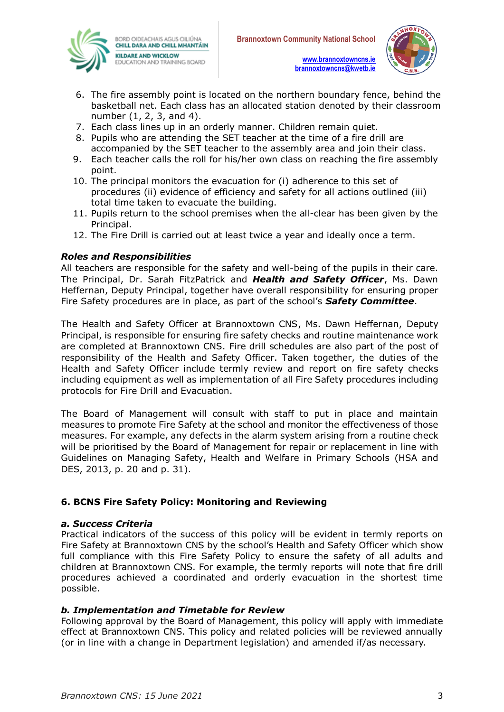





- 6. The fire assembly point is located on the northern boundary fence, behind the basketball net. Each class has an allocated station denoted by their classroom number (1, 2, 3, and 4).
- 7. Each class lines up in an orderly manner. Children remain quiet.
- 8. Pupils who are attending the SET teacher at the time of a fire drill are accompanied by the SET teacher to the assembly area and join their class.
- 9. Each teacher calls the roll for his/her own class on reaching the fire assembly point.
- 10. The principal monitors the evacuation for (i) adherence to this set of procedures (ii) evidence of efficiency and safety for all actions outlined (iii) total time taken to evacuate the building.
- 11. Pupils return to the school premises when the all-clear has been given by the Principal.
- 12. The Fire Drill is carried out at least twice a year and ideally once a term.

#### *Roles and Responsibilities*

All teachers are responsible for the safety and well-being of the pupils in their care. The Principal, Dr. Sarah FitzPatrick and *Health and Safety Officer*, Ms. Dawn Heffernan, Deputy Principal, together have overall responsibility for ensuring proper Fire Safety procedures are in place, as part of the school's *Safety Committee*.

The Health and Safety Officer at Brannoxtown CNS, Ms. Dawn Heffernan, Deputy Principal, is responsible for ensuring fire safety checks and routine maintenance work are completed at Brannoxtown CNS. Fire drill schedules are also part of the post of responsibility of the Health and Safety Officer. Taken together, the duties of the Health and Safety Officer include termly review and report on fire safety checks including equipment as well as implementation of all Fire Safety procedures including protocols for Fire Drill and Evacuation.

The Board of Management will consult with staff to put in place and maintain measures to promote Fire Safety at the school and monitor the effectiveness of those measures. For example, any defects in the alarm system arising from a routine check will be prioritised by the Board of Management for repair or replacement in line with Guidelines on Managing Safety, Health and Welfare in Primary Schools (HSA and DES, 2013, p. 20 and p. 31).

#### **6. BCNS Fire Safety Policy: Monitoring and Reviewing**

#### *a. Success Criteria*

Practical indicators of the success of this policy will be evident in termly reports on Fire Safety at Brannoxtown CNS by the school's Health and Safety Officer which show full compliance with this Fire Safety Policy to ensure the safety of all adults and children at Brannoxtown CNS. For example, the termly reports will note that fire drill procedures achieved a coordinated and orderly evacuation in the shortest time possible.

#### *b. Implementation and Timetable for Review*

Following approval by the Board of Management, this policy will apply with immediate effect at Brannoxtown CNS. This policy and related policies will be reviewed annually (or in line with a change in Department legislation) and amended if/as necessary.